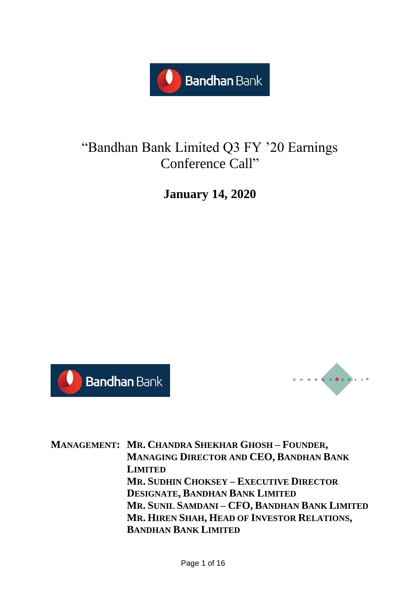

# "Bandhan Bank Limited Q3 FY '20 Earnings Conference Call"

**January 14, 2020**





**MANAGEMENT: MR. CHANDRA SHEKHAR GHOSH – FOUNDER, MANAGING DIRECTOR AND CEO, BANDHAN BANK LIMITED MR. SUDHIN CHOKSEY – EXECUTIVE DIRECTOR DESIGNATE, BANDHAN BANK LIMITED MR. SUNIL SAMDANI – CFO, BANDHAN BANK LIMITED MR. HIREN SHAH, HEAD OF INVESTOR RELATIONS, BANDHAN BANK LIMITED**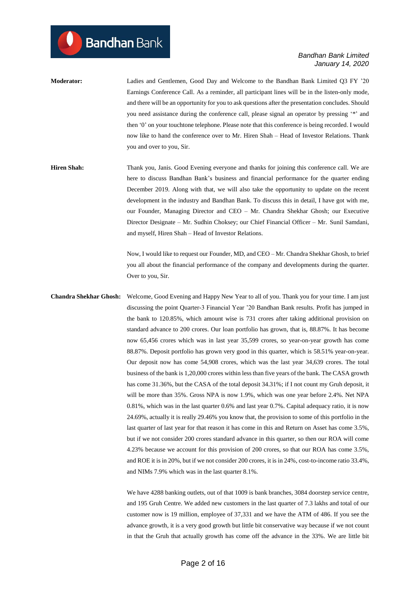- **Moderator:** Ladies and Gentlemen, Good Day and Welcome to the Bandhan Bank Limited Q3 FY '20 Earnings Conference Call. As a reminder, all participant lines will be in the listen-only mode, and there will be an opportunity for you to ask questions after the presentation concludes. Should you need assistance during the conference call, please signal an operator by pressing '\*' and then '0' on your touchtone telephone. Please note that this conference is being recorded. I would now like to hand the conference over to Mr. Hiren Shah – Head of Investor Relations. Thank you and over to you, Sir.
- **Hiren Shah:** Thank you, Janis. Good Evening everyone and thanks for joining this conference call. We are here to discuss Bandhan Bank's business and financial performance for the quarter ending December 2019. Along with that, we will also take the opportunity to update on the recent development in the industry and Bandhan Bank. To discuss this in detail, I have got with me, our Founder, Managing Director and CEO – Mr. Chandra Shekhar Ghosh; our Executive Director Designate – Mr. Sudhin Choksey; our Chief Financial Officer – Mr. Sunil Samdani, and myself, Hiren Shah – Head of Investor Relations.

Now, I would like to request our Founder, MD, and CEO – Mr. Chandra Shekhar Ghosh, to brief you all about the financial performance of the company and developments during the quarter. Over to you, Sir.

**Chandra Shekhar Ghosh:** Welcome, Good Evening and Happy New Year to all of you. Thank you for your time. I am just discussing the point Quarter-3 Financial Year '20 Bandhan Bank results. Profit has jumped in the bank to 120.85%, which amount wise is 731 crores after taking additional provision on standard advance to 200 crores. Our loan portfolio has grown, that is, 88.87%. It has become now 65,456 crores which was in last year 35,599 crores, so year-on-year growth has come 88.87%. Deposit portfolio has grown very good in this quarter, which is 58.51% year-on-year. Our deposit now has come 54,908 crores, which was the last year 34,639 crores. The total business of the bank is 1,20,000 crores within less than five years of the bank. The CASA growth has come 31.36%, but the CASA of the total deposit 34.31%; if I not count my Gruh deposit, it will be more than 35%. Gross NPA is now 1.9%, which was one year before 2.4%. Net NPA 0.81%, which was in the last quarter 0.6% and last year 0.7%. Capital adequacy ratio, it is now 24.69%, actually it is really 29.46% you know that, the provision to some of this portfolio in the last quarter of last year for that reason it has come in this and Return on Asset has come 3.5%, but if we not consider 200 crores standard advance in this quarter, so then our ROA will come 4.23% because we account for this provision of 200 crores, so that our ROA has come 3.5%, and ROE it is in 20%, but if we not consider 200 crores, it is in 24%, cost-to-income ratio 33.4%, and NIMs 7.9% which was in the last quarter 8.1%.

> We have 4288 banking outlets, out of that 1009 is bank branches, 3084 doorstep service centre, and 195 Gruh Centre. We added new customers in the last quarter of 7.3 lakhs and total of our customer now is 19 million, employee of 37,331 and we have the ATM of 486. If you see the advance growth, it is a very good growth but little bit conservative way because if we not count in that the Gruh that actually growth has come off the advance in the 33%. We are little bit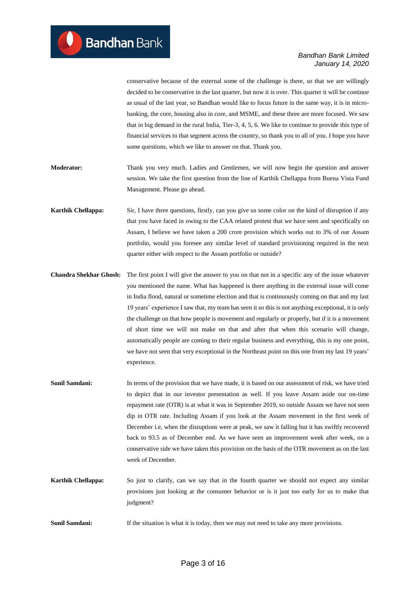conservative because of the external some of the challenge is there, so that we are willingly decided to be conservative in the last quarter, but now it is over. This quarter it will be continue as usual of the last year, so Bandhan would like to focus future in the same way, it is in microbanking, the core, housing also in core, and MSME, and these three are more focused. We saw that in big demand in the rural India, Tier-3, 4, 5, 6. We like to continue to provide this type of financial services to that segment across the country, so thank you to all of you. I hope you have some questions, which we like to answer on that. Thank you.

- **Moderator:** Thank you very much. Ladies and Gentlemen, we will now begin the question and answer session. We take the first question from the line of Karthik Chellappa from Buena Vista Fund Management. Please go ahead.
- **Karthik Chellappa:** Sir, I have three questions, firstly, can you give us some color on the kind of disruption if any that you have faced in owing to the CAA related protest that we have seen and specifically on Assam, I believe we have taken a 200 crore provision which works out to 3% of our Assam portfolio, would you foresee any similar level of standard provisioning required in the next quarter either with respect to the Assam portfolio or outside?
- **Chandra Shekhar Ghosh:** The first point I will give the answer to you on that not in a specific any of the issue whatever you mentioned the name. What has happened is there anything in the external issue will come in India flood, natural or sometime election and that is continuously coming on that and my last 19 years' experience I saw that, my team has seen it so this is not anything exceptional, it is only the challenge on that how people is movement and regularly or properly, but if it is a movement of short time we will not make on that and after that when this scenario will change, automatically people are coming to their regular business and everything, this is my one point, we have not seen that very exceptional in the Northeast point on this one from my last 19 years' experience.
- **Sunil Samdani:** In terms of the provision that we have made, it is based on our assessment of risk, we have tried to depict that in our investor presentation as well. If you leave Assam aside our on-time repayment rate (OTR) is at what it was in September 2019, so outside Assam we have not seen dip in OTR rate. Including Assam if you look at the Assam movement in the first week of December i.e, when the disruptions were at peak, we saw it falling but it has swiftly recovered back to 93.5 as of December end. As we have seen an improvement week after week, on a conservative side we have taken this provision on the basis of the OTR movement as on the last week of December.
- **Karthik Chellappa:** So just to clarify, can we say that in the fourth quarter we should not expect any similar provisions just looking at the consumer behavior or is it just too early for us to make that judgment?
- **Sunil Samdani:** If the situation is what it is today, then we may not need to take any more provisions.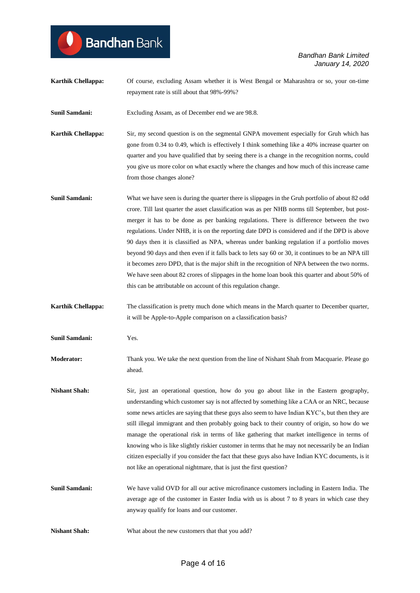# **Bandhan** Bank

*Bandhan Bank Limited January 14, 2020*

**Karthik Chellappa:** Of course, excluding Assam whether it is West Bengal or Maharashtra or so, your on-time repayment rate is still about that 98%-99%?

**Sunil Samdani:** Excluding Assam, as of December end we are 98.8.

- **Karthik Chellappa:** Sir, my second question is on the segmental GNPA movement especially for Gruh which has gone from 0.34 to 0.49, which is effectively I think something like a 40% increase quarter on quarter and you have qualified that by seeing there is a change in the recognition norms, could you give us more color on what exactly where the changes and how much of this increase came from those changes alone?
- **Sunil Samdani:** What we have seen is during the quarter there is slippages in the Gruh portfolio of about 82 odd crore. Till last quarter the asset classification was as per NHB norms till September, but postmerger it has to be done as per banking regulations. There is difference between the two regulations. Under NHB, it is on the reporting date DPD is considered and if the DPD is above 90 days then it is classified as NPA, whereas under banking regulation if a portfolio moves beyond 90 days and then even if it falls back to lets say 60 or 30, it continues to be an NPA till it becomes zero DPD, that is the major shift in the recognition of NPA between the two norms. We have seen about 82 crores of slippages in the home loan book this quarter and about 50% of this can be attributable on account of this regulation change.
- **Karthik Chellappa:** The classification is pretty much done which means in the March quarter to December quarter, it will be Apple-to-Apple comparison on a classification basis?
- **Sunil Samdani:** Yes.
- **Moderator:** Thank you. We take the next question from the line of Nishant Shah from Macquarie. Please go ahead.
- **Nishant Shah:** Sir, just an operational question, how do you go about like in the Eastern geography, understanding which customer say is not affected by something like a CAA or an NRC, because some news articles are saying that these guys also seem to have Indian KYC's, but then they are still illegal immigrant and then probably going back to their country of origin, so how do we manage the operational risk in terms of like gathering that market intelligence in terms of knowing who is like slightly riskier customer in terms that he may not necessarily be an Indian citizen especially if you consider the fact that these guys also have Indian KYC documents, is it not like an operational nightmare, that is just the first question?
- **Sunil Samdani:** We have valid OVD for all our active microfinance customers including in Eastern India. The average age of the customer in Easter India with us is about 7 to 8 years in which case they anyway qualify for loans and our customer.
- **Nishant Shah:** What about the new customers that that you add?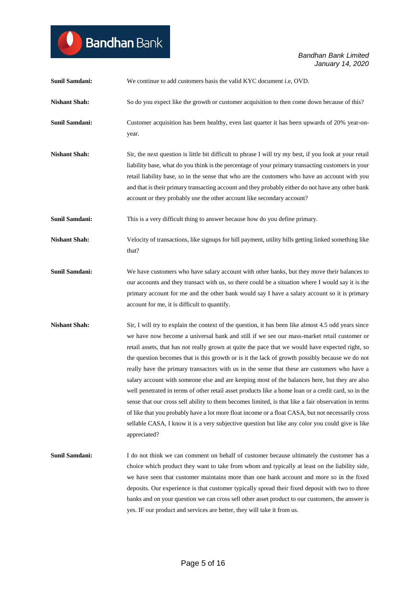| <b>Sunil Samdani:</b> | We continue to add customers basis the valid KYC document i.e, OVD.                                                                                                                                                                                                                                                                                                                                                                                                                                                                                                                                                                                                                                                                                                                                                                                                                                                                                                                                                                               |
|-----------------------|---------------------------------------------------------------------------------------------------------------------------------------------------------------------------------------------------------------------------------------------------------------------------------------------------------------------------------------------------------------------------------------------------------------------------------------------------------------------------------------------------------------------------------------------------------------------------------------------------------------------------------------------------------------------------------------------------------------------------------------------------------------------------------------------------------------------------------------------------------------------------------------------------------------------------------------------------------------------------------------------------------------------------------------------------|
| <b>Nishant Shah:</b>  | So do you expect like the growth or customer acquisition to then come down because of this?                                                                                                                                                                                                                                                                                                                                                                                                                                                                                                                                                                                                                                                                                                                                                                                                                                                                                                                                                       |
| <b>Sunil Samdani:</b> | Customer acquisition has been healthy, even last quarter it has been upwards of 20% year-on-<br>year.                                                                                                                                                                                                                                                                                                                                                                                                                                                                                                                                                                                                                                                                                                                                                                                                                                                                                                                                             |
| <b>Nishant Shah:</b>  | Sir, the next question is little bit difficult to phrase I will try my best, if you look at your retail<br>liability base, what do you think is the percentage of your primary transacting customers in your<br>retail liability base, so in the sense that who are the customers who have an account with you<br>and that is their primary transacting account and they probably either do not have any other bank<br>account or they probably use the other account like secondary account?                                                                                                                                                                                                                                                                                                                                                                                                                                                                                                                                                     |
| <b>Sunil Samdani:</b> | This is a very difficult thing to answer because how do you define primary.                                                                                                                                                                                                                                                                                                                                                                                                                                                                                                                                                                                                                                                                                                                                                                                                                                                                                                                                                                       |
| <b>Nishant Shah:</b>  | Velocity of transactions, like signups for bill payment, utility bills getting linked something like<br>that?                                                                                                                                                                                                                                                                                                                                                                                                                                                                                                                                                                                                                                                                                                                                                                                                                                                                                                                                     |
| Sunil Samdani:        | We have customers who have salary account with other banks, but they move their balances to<br>our accounts and they transact with us, so there could be a situation where I would say it is the<br>primary account for me and the other bank would say I have a salary account so it is primary<br>account for me, it is difficult to quantify.                                                                                                                                                                                                                                                                                                                                                                                                                                                                                                                                                                                                                                                                                                  |
| <b>Nishant Shah:</b>  | Sir, I will try to explain the context of the question, it has been like almost 4.5 odd years since<br>we have now become a universal bank and still if we see our mass-market retail customer or<br>retail assets, that has not really grown at quite the pace that we would have expected right, so<br>the question becomes that is this growth or is it the lack of growth possibly because we do not<br>really have the primary transactors with us in the sense that these are customers who have a<br>salary account with someone else and are keeping most of the balances here, but they are also<br>well penetrated in terms of other retail asset products like a home loan or a credit card, so in the<br>sense that our cross sell ability to them becomes limited, is that like a fair observation in terms<br>of like that you probably have a lot more float income or a float CASA, but not necessarily cross<br>sellable CASA, I know it is a very subjective question but like any color you could give is like<br>appreciated? |
| <b>Sunil Samdani:</b> | I do not think we can comment on behalf of customer because ultimately the customer has a<br>choice which product they want to take from whom and typically at least on the liability side,<br>we have seen that customer maintains more than one bank account and more so in the fixed<br>deposits. Our experience is that customer typically spread their fixed deposit with two to three<br>banks and on your question we can cross sell other asset product to our customers, the answer is<br>yes. IF our product and services are better, they will take it from us.                                                                                                                                                                                                                                                                                                                                                                                                                                                                        |

Bandhan Bank

 $\bullet$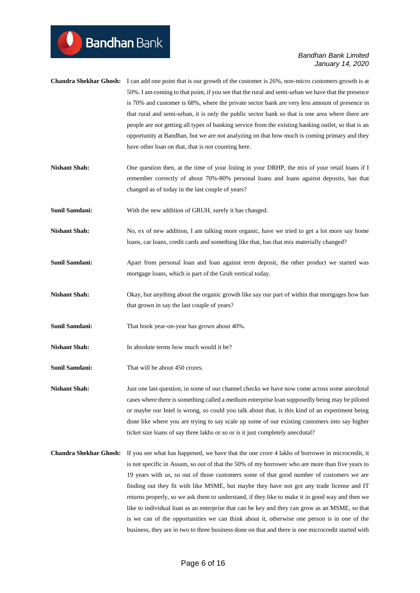| <b>Chandra Shekhar Ghosh:</b> I can add one point that is our growth of the customer is 26%, non-micro customers growth is at |
|-------------------------------------------------------------------------------------------------------------------------------|
| 50%. I am coming to that point, if you see that the rural and semi-urban we have that the presence                            |
| is 70% and customer is 68%, where the private sector bank are very less amount of presence in                                 |
| that rural and semi-urban, it is only the public sector bank so that is one area where there are                              |
| people are not getting all types of banking service from the existing banking outlet, so that is an                           |
| opportunity at Bandhan, but we are not analyzing on that how much is coming primary and they                                  |
| have other loan on that, that is not counting here.                                                                           |
|                                                                                                                               |

- **Nishant Shah:** One question then, at the time of your listing in your DRHP, the mix of your retail loans if I remember correctly of about 70%-80% personal loans and loans against deposits, has that changed as of today in the last couple of years?
- **Sunil Samdani:** With the new addition of GRUH, surely it has changed.
- **Nishant Shah:** No, ex of new addition, I am talking more organic, have we tried to get a lot more say home loans, car loans, credit cards and something like that, has that mix materially changed?
- **Sunil Samdani:** Apart from personal loan and loan against term deposit, the other product we started was mortgage loans, which is part of the Gruh vertical today.
- **Nishant Shah:** Okay, but anything about the organic growth like say our part of within that mortgages how has that grown in say the last couple of years?
- Sunil Samdani: That book year-on-year has grown about 40%.
- **Nishant Shah:** In absolute terms how much would it be?
- **Sunil Samdani:** That will be about 450 crores.

**Nishant Shah:** Just one last question, in some of our channel checks we have now come across some anecdotal cases where there is something called a medium enterprise loan supposedly being may be piloted or maybe our Intel is wrong, so could you talk about that, is this kind of an experiment being done like where you are trying to say scale up some of our existing customers into say higher ticket size loans of say three lakhs or so or is it just completely anecdotal?

**Chandra Shekhar Ghosh:** If you see what has happened, we have that the one crore 4 lakhs of borrower in microcredit, it is not specific in Assam, so out of that the 50% of my borrower who are more than five years to 19 years with us, so out of those customers some of that good number of customers we are finding out they fit with like MSME, but maybe they have not got any trade license and IT returns properly, so we ask them to understand, if they like to make it in good way and then we like to individual loan as an enterprise that can be key and they can grow as an MSME, so that is we can of the opportunities we can think about it, otherwise one person is in one of the business, they are in two to three business done on that and there is one microcredit started with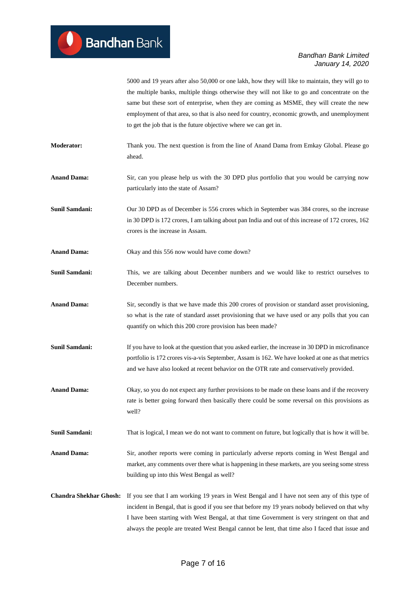5000 and 19 years after also 50,000 or one lakh, how they will like to maintain, they will go to the multiple banks, multiple things otherwise they will not like to go and concentrate on the same but these sort of enterprise, when they are coming as MSME, they will create the new employment of that area, so that is also need for country, economic growth, and unemployment to get the job that is the future objective where we can get in.

**Moderator:** Thank you. The next question is from the line of Anand Dama from Emkay Global. Please go ahead.

**Anand Dama:** Sir, can you please help us with the 30 DPD plus portfolio that you would be carrying now particularly into the state of Assam?

**Sunil Samdani:** Our 30 DPD as of December is 556 crores which in September was 384 crores, so the increase in 30 DPD is 172 crores, I am talking about pan India and out of this increase of 172 crores, 162 crores is the increase in Assam.

**Anand Dama:** Okay and this 556 now would have come down?

**Sunil Samdani:** This, we are talking about December numbers and we would like to restrict ourselves to December numbers.

**Anand Dama:** Sir, secondly is that we have made this 200 crores of provision or standard asset provisioning, so what is the rate of standard asset provisioning that we have used or any polls that you can quantify on which this 200 crore provision has been made?

**Sunil Samdani:** If you have to look at the question that you asked earlier, the increase in 30 DPD in microfinance portfolio is 172 crores vis-a-vis September, Assam is 162. We have looked at one as that metrics and we have also looked at recent behavior on the OTR rate and conservatively provided.

**Anand Dama:** Okay, so you do not expect any further provisions to be made on these loans and if the recovery rate is better going forward then basically there could be some reversal on this provisions as well?

**Sunil Samdani:** That is logical, I mean we do not want to comment on future, but logically that is how it will be.

**Anand Dama:** Sir, another reports were coming in particularly adverse reports coming in West Bengal and market, any comments over there what is happening in these markets, are you seeing some stress building up into this West Bengal as well?

**Chandra Shekhar Ghosh:** If you see that I am working 19 years in West Bengal and I have not seen any of this type of incident in Bengal, that is good if you see that before my 19 years nobody believed on that why I have been starting with West Bengal, at that time Government is very stringent on that and always the people are treated West Bengal cannot be lent, that time also I faced that issue and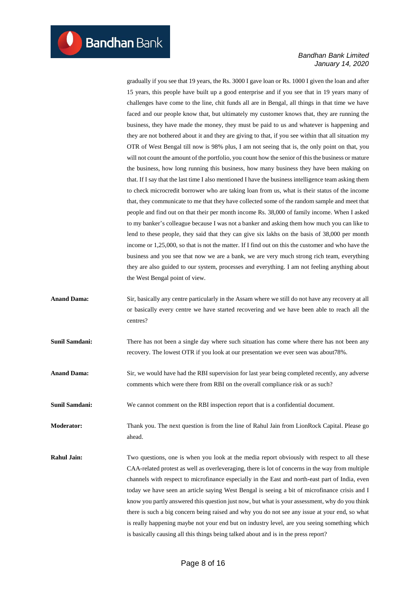gradually if you see that 19 years, the Rs. 3000 I gave loan or Rs. 1000 I given the loan and after 15 years, this people have built up a good enterprise and if you see that in 19 years many of challenges have come to the line, chit funds all are in Bengal, all things in that time we have faced and our people know that, but ultimately my customer knows that, they are running the business, they have made the money, they must be paid to us and whatever is happening and they are not bothered about it and they are giving to that, if you see within that all situation my OTR of West Bengal till now is 98% plus, I am not seeing that is, the only point on that, you will not count the amount of the portfolio, you count how the senior of this the business or mature the business, how long running this business, how many business they have been making on that. If I say that the last time I also mentioned I have the business intelligence team asking them to check microcredit borrower who are taking loan from us, what is their status of the income that, they communicate to me that they have collected some of the random sample and meet that people and find out on that their per month income Rs. 38,000 of family income. When I asked to my banker's colleague because I was not a banker and asking them how much you can like to lend to these people, they said that they can give six lakhs on the basis of 38,000 per month income or 1,25,000, so that is not the matter. If I find out on this the customer and who have the business and you see that now we are a bank, we are very much strong rich team, everything they are also guided to our system, processes and everything. I am not feeling anything about the West Bengal point of view.

**Anand Dama:** Sir, basically any centre particularly in the Assam where we still do not have any recovery at all or basically every centre we have started recovering and we have been able to reach all the centres?

**Sunil Samdani:** There has not been a single day where such situation has come where there has not been any recovery. The lowest OTR if you look at our presentation we ever seen was about78%.

Anand Dama: Sir, we would have had the RBI supervision for last year being completed recently, any adverse comments which were there from RBI on the overall compliance risk or as such?

**Sunil Samdani:** We cannot comment on the RBI inspection report that is a confidential document.

**Moderator:** Thank you. The next question is from the line of Rahul Jain from LionRock Capital. Please go ahead.

**Rahul Jain:** Two questions, one is when you look at the media report obviously with respect to all these CAA-related protest as well as overleveraging, there is lot of concerns in the way from multiple channels with respect to microfinance especially in the East and north-east part of India, even today we have seen an article saying West Bengal is seeing a bit of microfinance crisis and I know you partly answered this question just now, but what is your assessment, why do you think there is such a big concern being raised and why you do not see any issue at your end, so what is really happening maybe not your end but on industry level, are you seeing something which is basically causing all this things being talked about and is in the press report?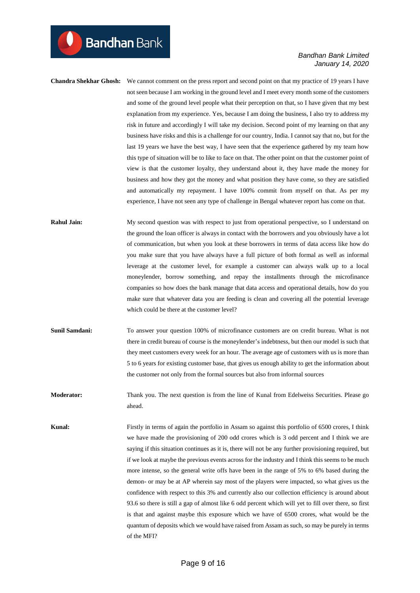**Chandra Shekhar Ghosh:** We cannot comment on the press report and second point on that my practice of 19 years I have not seen because I am working in the ground level and I meet every month some of the customers and some of the ground level people what their perception on that, so I have given that my best explanation from my experience. Yes, because I am doing the business, I also try to address my risk in future and accordingly I will take my decision. Second point of my learning on that any business have risks and this is a challenge for our country, India. I cannot say that no, but for the last 19 years we have the best way, I have seen that the experience gathered by my team how this type of situation will be to like to face on that. The other point on that the customer point of view is that the customer loyalty, they understand about it, they have made the money for business and how they got the money and what position they have come, so they are satisfied and automatically my repayment. I have 100% commit from myself on that. As per my experience, I have not seen any type of challenge in Bengal whatever report has come on that.

# **Rahul Jain:** My second question was with respect to just from operational perspective, so I understand on the ground the loan officer is always in contact with the borrowers and you obviously have a lot of communication, but when you look at these borrowers in terms of data access like how do you make sure that you have always have a full picture of both formal as well as informal leverage at the customer level, for example a customer can always walk up to a local moneylender, borrow something, and repay the installments through the microfinance companies so how does the bank manage that data access and operational details, how do you make sure that whatever data you are feeding is clean and covering all the potential leverage which could be there at the customer level?

**Sunil Samdani:** To answer your question 100% of microfinance customers are on credit bureau. What is not there in credit bureau of course is the moneylender's indebtness, but then our model is such that they meet customers every week for an hour. The average age of customers with us is more than 5 to 6 years for existing customer base, that gives us enough ability to get the information about the customer not only from the formal sources but also from informal sources

**Moderator:** Thank you. The next question is from the line of Kunal from Edelweiss Securities. Please go ahead.

**Kunal:** Firstly in terms of again the portfolio in Assam so against this portfolio of 6500 crores, I think we have made the provisioning of 200 odd crores which is 3 odd percent and I think we are saying if this situation continues as it is, there will not be any further provisioning required, but if we look at maybe the previous events across for the industry and I think this seems to be much more intense, so the general write offs have been in the range of 5% to 6% based during the demon- or may be at AP wherein say most of the players were impacted, so what gives us the confidence with respect to this 3% and currently also our collection efficiency is around about 93.6 so there is still a gap of almost like 6 odd percent which will yet to fill over there, so first is that and against maybe this exposure which we have of 6500 crores, what would be the quantum of deposits which we would have raised from Assam as such, so may be purely in terms of the MFI?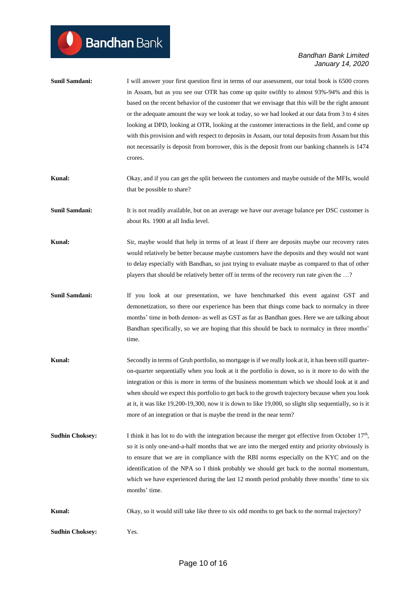$\bullet$ 

| <b>Sunil Samdani:</b>  | I will answer your first question first in terms of our assessment, our total book is 6500 crores<br>in Assam, but as you see our OTR has come up quite swiftly to almost 93%-94% and this is<br>based on the recent behavior of the customer that we envisage that this will be the right amount<br>or the adequate amount the way we look at today, so we had looked at our data from 3 to 4 sites<br>looking at DPD, looking at OTR, looking at the customer interactions in the field, and come up<br>with this provision and with respect to deposits in Assam, our total deposits from Assam but this<br>not necessarily is deposit from borrower, this is the deposit from our banking channels is 1474<br>crores. |
|------------------------|---------------------------------------------------------------------------------------------------------------------------------------------------------------------------------------------------------------------------------------------------------------------------------------------------------------------------------------------------------------------------------------------------------------------------------------------------------------------------------------------------------------------------------------------------------------------------------------------------------------------------------------------------------------------------------------------------------------------------|
| Kunal:                 | Okay, and if you can get the split between the customers and maybe outside of the MFIs, would<br>that be possible to share?                                                                                                                                                                                                                                                                                                                                                                                                                                                                                                                                                                                               |
| <b>Sunil Samdani:</b>  | It is not readily available, but on an average we have our average balance per DSC customer is<br>about Rs. 1900 at all India level.                                                                                                                                                                                                                                                                                                                                                                                                                                                                                                                                                                                      |
| Kunal:                 | Sir, maybe would that help in terms of at least if there are deposits maybe our recovery rates<br>would relatively be better because maybe customers have the deposits and they would not want<br>to delay especially with Bandhan, so just trying to evaluate maybe as compared to that of other<br>players that should be relatively better off in terms of the recovery run rate given the ?                                                                                                                                                                                                                                                                                                                           |
| <b>Sunil Samdani:</b>  | If you look at our presentation, we have benchmarked this event against GST and<br>demonetization, so there our experience has been that things come back to normalcy in three<br>months' time in both demon- as well as GST as far as Bandhan goes. Here we are talking about<br>Bandhan specifically, so we are hoping that this should be back to normalcy in three months'<br>time.                                                                                                                                                                                                                                                                                                                                   |
| Kunal:                 | Secondly in terms of Gruh portfolio, so mortgage is if we really look at it, it has been still quarter-<br>on-quarter sequentially when you look at it the portfolio is down, so is it more to do with the<br>integration or this is more in terms of the business momentum which we should look at it and<br>when should we expect this portfolio to get back to the growth trajectory because when you look<br>at it, it was like 19,200-19,300, now it is down to like 19,000, so slight slip sequentially, so is it<br>more of an integration or that is maybe the trend in the near term?                                                                                                                            |
| <b>Sudhin Choksey:</b> | I think it has lot to do with the integration because the merger got effective from October $17th$ ,<br>so it is only one-and-a-half months that we are into the merged entity and priority obviously is<br>to ensure that we are in compliance with the RBI norms especially on the KYC and on the<br>identification of the NPA so I think probably we should get back to the normal momentum,<br>which we have experienced during the last 12 month period probably three months' time to six<br>months' time.                                                                                                                                                                                                          |
| Kunal:                 | Okay, so it would still take like three to six odd months to get back to the normal trajectory?                                                                                                                                                                                                                                                                                                                                                                                                                                                                                                                                                                                                                           |
| <b>Sudhin Choksey:</b> | Yes.                                                                                                                                                                                                                                                                                                                                                                                                                                                                                                                                                                                                                                                                                                                      |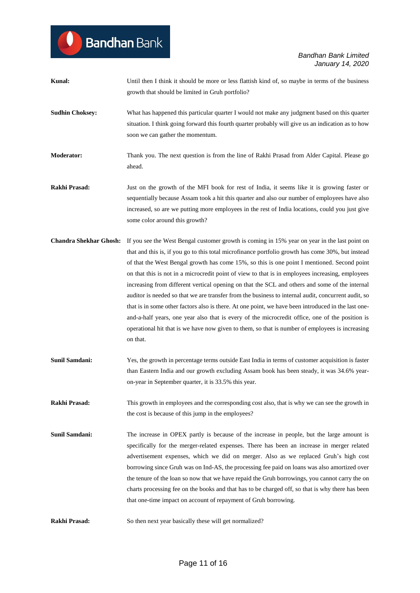| Kunal:                 | Until then I think it should be more or less flattish kind of, so maybe in terms of the business<br>growth that should be limited in Gruh portfolio?                                                                                                                                                                                                                                                                                                                                                                                                                                                                                                                                                                                                                                                                                                                                                                                                           |
|------------------------|----------------------------------------------------------------------------------------------------------------------------------------------------------------------------------------------------------------------------------------------------------------------------------------------------------------------------------------------------------------------------------------------------------------------------------------------------------------------------------------------------------------------------------------------------------------------------------------------------------------------------------------------------------------------------------------------------------------------------------------------------------------------------------------------------------------------------------------------------------------------------------------------------------------------------------------------------------------|
| <b>Sudhin Choksey:</b> | What has happened this particular quarter I would not make any judgment based on this quarter<br>situation. I think going forward this fourth quarter probably will give us an indication as to how<br>soon we can gather the momentum.                                                                                                                                                                                                                                                                                                                                                                                                                                                                                                                                                                                                                                                                                                                        |
| <b>Moderator:</b>      | Thank you. The next question is from the line of Rakhi Prasad from Alder Capital. Please go<br>ahead.                                                                                                                                                                                                                                                                                                                                                                                                                                                                                                                                                                                                                                                                                                                                                                                                                                                          |
| Rakhi Prasad:          | Just on the growth of the MFI book for rest of India, it seems like it is growing faster or<br>sequentially because Assam took a hit this quarter and also our number of employees have also<br>increased, so are we putting more employees in the rest of India locations, could you just give<br>some color around this growth?                                                                                                                                                                                                                                                                                                                                                                                                                                                                                                                                                                                                                              |
|                        | Chandra Shekhar Ghosh: If you see the West Bengal customer growth is coming in 15% year on year in the last point on<br>that and this is, if you go to this total microfinance portfolio growth has come 30%, but instead<br>of that the West Bengal growth has come 15%, so this is one point I mentioned. Second point<br>on that this is not in a microcredit point of view to that is in employees increasing, employees<br>increasing from different vertical opening on that the SCL and others and some of the internal<br>auditor is needed so that we are transfer from the business to internal audit, concurrent audit, so<br>that is in some other factors also is there. At one point, we have been introduced in the last one-<br>and-a-half years, one year also that is every of the microcredit office, one of the position is<br>operational hit that is we have now given to them, so that is number of employees is increasing<br>on that. |
| <b>Sunil Samdani:</b>  | Yes, the growth in percentage terms outside East India in terms of customer acquisition is faster<br>than Eastern India and our growth excluding Assam book has been steady, it was 34.6% year-<br>on-year in September quarter, it is 33.5% this year.                                                                                                                                                                                                                                                                                                                                                                                                                                                                                                                                                                                                                                                                                                        |
| Rakhi Prasad:          | This growth in employees and the corresponding cost also, that is why we can see the growth in<br>the cost is because of this jump in the employees?                                                                                                                                                                                                                                                                                                                                                                                                                                                                                                                                                                                                                                                                                                                                                                                                           |
| Sunil Samdani:         | The increase in OPEX partly is because of the increase in people, but the large amount is<br>specifically for the merger-related expenses. There has been an increase in merger related<br>advertisement expenses, which we did on merger. Also as we replaced Gruh's high cost<br>borrowing since Gruh was on Ind-AS, the processing fee paid on loans was also amortized over<br>the tenure of the loan so now that we have repaid the Gruh borrowings, you cannot carry the on<br>charts processing fee on the books and that has to be charged off, so that is why there has been<br>that one-time impact on account of repayment of Gruh borrowing.                                                                                                                                                                                                                                                                                                       |
| Rakhi Prasad:          | So then next year basically these will get normalized?                                                                                                                                                                                                                                                                                                                                                                                                                                                                                                                                                                                                                                                                                                                                                                                                                                                                                                         |

**Bandhan** Bank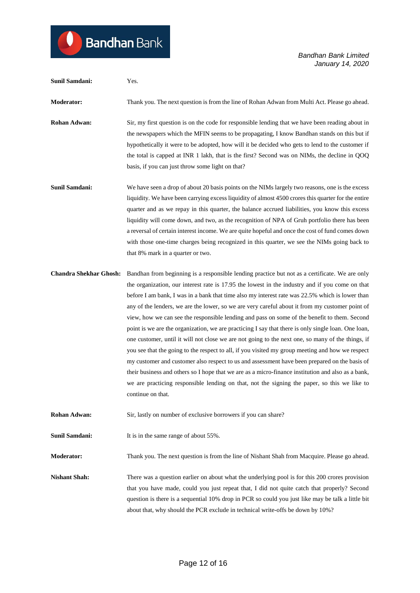```
Sunil Samdani: Yes.
Moderator: Thank you. The next question is from the line of Rohan Adwan from Multi Act. Please go ahead.
Rohan Adwan: Sir, my first question is on the code for responsible lending that we have been reading about in
                            the newspapers which the MFIN seems to be propagating, I know Bandhan stands on this but if 
                            hypothetically it were to be adopted, how will it be decided who gets to lend to the customer if 
                            the total is capped at INR 1 lakh, that is the first? Second was on NIMs, the decline in QOQ 
                            basis, if you can just throw some light on that?
Sunil Samdani: We have seen a drop of about 20 basis points on the NIMs largely two reasons, one is the excess
                            liquidity. We have been carrying excess liquidity of almost 4500 crores this quarter for the entire 
                            quarter and as we repay in this quarter, the balance accrued liabilities, you know this excess 
                            liquidity will come down, and two, as the recognition of NPA of Gruh portfolio there has been 
                            a reversal of certain interest income. We are quite hopeful and once the cost of fund comes down 
                            with those one-time charges being recognized in this quarter, we see the NIMs going back to 
                            that 8% mark in a quarter or two.
Chandra Shekhar Ghosh: Bandhan from beginning is a responsible lending practice but not as a certificate. We are only 
                            the organization, our interest rate is 17.95 the lowest in the industry and if you come on that 
                            before I am bank, I was in a bank that time also my interest rate was 22.5% which is lower than 
                            any of the lenders, we are the lower, so we are very careful about it from my customer point of 
                            view, how we can see the responsible lending and pass on some of the benefit to them. Second 
                            point is we are the organization, we are practicing I say that there is only single loan. One loan, 
                            one customer, until it will not close we are not going to the next one, so many of the things, if 
                            you see that the going to the respect to all, if you visited my group meeting and how we respect 
                            my customer and customer also respect to us and assessment have been prepared on the basis of 
                            their business and others so I hope that we are as a micro-finance institution and also as a bank, 
                            we are practicing responsible lending on that, not the signing the paper, so this we like to 
                            continue on that.
Rohan Adwan: Sir, lastly on number of exclusive borrowers if you can share?
Sunil Samdani: It is in the same range of about 55%.
Moderator: Thank you. The next question is from the line of Nishant Shah from Macquire. Please go ahead.
Nishant Shah: There was a question earlier on about what the underlying pool is for this 200 crores provision
                            that you have made, could you just repeat that, I did not quite catch that properly? Second 
                            question is there is a sequential 10% drop in PCR so could you just like may be talk a little bit 
                            about that, why should the PCR exclude in technical write-offs be down by 10%?
```
**Bandhan** Bank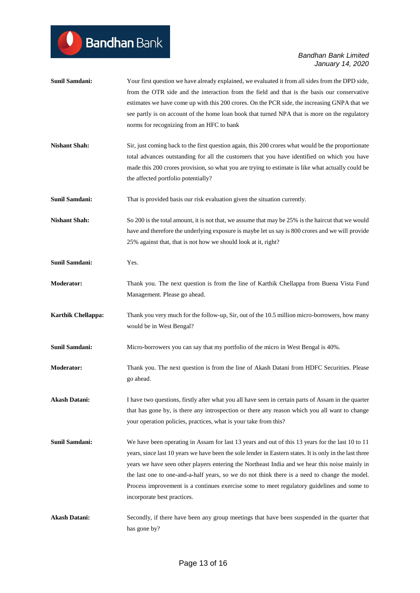| Sunil Samdani:            | Your first question we have already explained, we evaluated it from all sides from the DPD side,<br>from the OTR side and the interaction from the field and that is the basis our conservative<br>estimates we have come up with this 200 crores. On the PCR side, the increasing GNPA that we<br>see partly is on account of the home loan book that turned NPA that is more on the regulatory<br>norms for recognizing from an HFC to bank                                                                                               |
|---------------------------|---------------------------------------------------------------------------------------------------------------------------------------------------------------------------------------------------------------------------------------------------------------------------------------------------------------------------------------------------------------------------------------------------------------------------------------------------------------------------------------------------------------------------------------------|
| <b>Nishant Shah:</b>      | Sir, just coming back to the first question again, this 200 crores what would be the proportionate<br>total advances outstanding for all the customers that you have identified on which you have<br>made this 200 crores provision, so what you are trying to estimate is like what actually could be<br>the affected portfolio potentially?                                                                                                                                                                                               |
| <b>Sunil Samdani:</b>     | That is provided basis our risk evaluation given the situation currently.                                                                                                                                                                                                                                                                                                                                                                                                                                                                   |
| <b>Nishant Shah:</b>      | So 200 is the total amount, it is not that, we assume that may be 25% is the haircut that we would<br>have and therefore the underlying exposure is maybe let us say is 800 crores and we will provide<br>25% against that, that is not how we should look at it, right?                                                                                                                                                                                                                                                                    |
| <b>Sunil Samdani:</b>     | Yes.                                                                                                                                                                                                                                                                                                                                                                                                                                                                                                                                        |
| <b>Moderator:</b>         | Thank you. The next question is from the line of Karthik Chellappa from Buena Vista Fund<br>Management. Please go ahead.                                                                                                                                                                                                                                                                                                                                                                                                                    |
| <b>Karthik Chellappa:</b> | Thank you very much for the follow-up, Sir, out of the 10.5 million micro-borrowers, how many<br>would be in West Bengal?                                                                                                                                                                                                                                                                                                                                                                                                                   |
| <b>Sunil Samdani:</b>     | Micro-borrowers you can say that my portfolio of the micro in West Bengal is 40%.                                                                                                                                                                                                                                                                                                                                                                                                                                                           |
| <b>Moderator:</b>         | Thank you. The next question is from the line of Akash Datani from HDFC Securities. Please<br>go ahead.                                                                                                                                                                                                                                                                                                                                                                                                                                     |
| <b>Akash Datani:</b>      | I have two questions, firstly after what you all have seen in certain parts of Assam in the quarter<br>that has gone by, is there any introspection or there any reason which you all want to change<br>your operation policies, practices, what is your take from this?                                                                                                                                                                                                                                                                    |
| <b>Sunil Samdani:</b>     | We have been operating in Assam for last 13 years and out of this 13 years for the last 10 to 11<br>years, since last 10 years we have been the sole lender in Eastern states. It is only in the last three<br>years we have seen other players entering the Northeast India and we hear this noise mainly in<br>the last one to one-and-a-half years, so we do not think there is a need to change the model.<br>Process improvement is a continues exercise some to meet regulatory guidelines and some to<br>incorporate best practices. |
| <b>Akash Datani:</b>      | Secondly, if there have been any group meetings that have been suspended in the quarter that<br>has gone by?                                                                                                                                                                                                                                                                                                                                                                                                                                |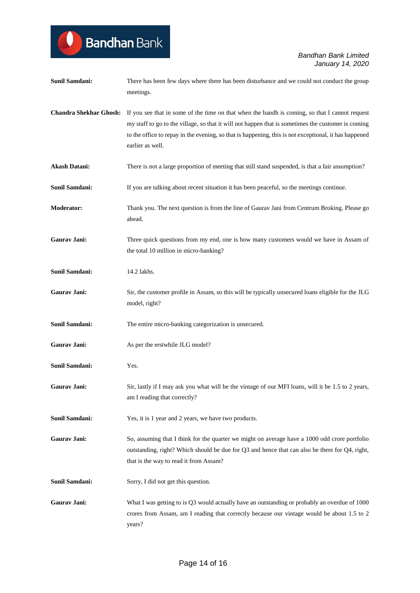| Sunil Samdani:                | There has been few days where there has been disturbance and we could not conduct the group<br>meetings.                                                                                                                                                                                                                          |
|-------------------------------|-----------------------------------------------------------------------------------------------------------------------------------------------------------------------------------------------------------------------------------------------------------------------------------------------------------------------------------|
| <b>Chandra Shekhar Ghosh:</b> | If you see that in some of the time on that when the bandh is coming, so that I cannot request<br>my staff to go to the village, so that it will not happen that is sometimes the customer is coming<br>to the office to repay in the evening, so that is happening, this is not exceptional, it has happened<br>earlier as well. |
| <b>Akash Datani:</b>          | There is not a large proportion of meeting that still stand suspended, is that a fair assumption?                                                                                                                                                                                                                                 |
| <b>Sunil Samdani:</b>         | If you are talking about recent situation it has been peaceful, so the meetings continue.                                                                                                                                                                                                                                         |
| <b>Moderator:</b>             | Thank you. The next question is from the line of Gaurav Jani from Centrum Broking. Please go<br>ahead.                                                                                                                                                                                                                            |
| Gaurav Jani:                  | Three quick questions from my end, one is how many customers would we have in Assam of<br>the total 10 million in micro-banking?                                                                                                                                                                                                  |
| Sunil Samdani:                | 14.2 lakhs.                                                                                                                                                                                                                                                                                                                       |
| Gaurav Jani:                  | Sir, the customer profile in Assam, so this will be typically unsecured loans eligible for the JLG<br>model, right?                                                                                                                                                                                                               |
| Sunil Samdani:                | The entire micro-banking categorization is unsecured.                                                                                                                                                                                                                                                                             |
| Gaurav Jani:                  | As per the erstwhile JLG model?                                                                                                                                                                                                                                                                                                   |
| Sunil Samdani:                | Yes.                                                                                                                                                                                                                                                                                                                              |
| Gaurav Jani:                  | Sir, lastly if I may ask you what will be the vintage of our MFI loans, will it be 1.5 to 2 years,<br>am I reading that correctly?                                                                                                                                                                                                |
| Sunil Samdani:                | Yes, it is 1 year and 2 years, we have two products.                                                                                                                                                                                                                                                                              |
| Gaurav Jani:                  | So, assuming that I think for the quarter we might on average have a 1000 odd crore portfolio<br>outstanding, right? Which should be due for Q3 and hence that can also be there for Q4, right,<br>that is the way to read it from Assam?                                                                                         |
| <b>Sunil Samdani:</b>         | Sorry, I did not get this question.                                                                                                                                                                                                                                                                                               |
| Gaurav Jani:                  | What I was getting to is Q3 would actually have an outstanding or probably an overdue of 1000<br>crores from Assam, am I reading that correctly because our vintage would be about 1.5 to 2<br>years?                                                                                                                             |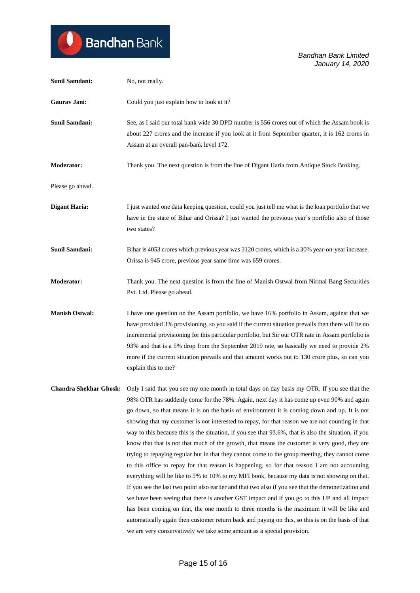| <b>Sunil Samdani:</b>         | No, not really.                                                                                                                                                                                                                                                                                                                                                                                                                                                                                                                                                                                                                                                                                                                                                                                                                                                                                                                                                                                                                                                                                                                                                                                                                                                                                                                                                                            |
|-------------------------------|--------------------------------------------------------------------------------------------------------------------------------------------------------------------------------------------------------------------------------------------------------------------------------------------------------------------------------------------------------------------------------------------------------------------------------------------------------------------------------------------------------------------------------------------------------------------------------------------------------------------------------------------------------------------------------------------------------------------------------------------------------------------------------------------------------------------------------------------------------------------------------------------------------------------------------------------------------------------------------------------------------------------------------------------------------------------------------------------------------------------------------------------------------------------------------------------------------------------------------------------------------------------------------------------------------------------------------------------------------------------------------------------|
| Gaurav Jani:                  | Could you just explain how to look at it?                                                                                                                                                                                                                                                                                                                                                                                                                                                                                                                                                                                                                                                                                                                                                                                                                                                                                                                                                                                                                                                                                                                                                                                                                                                                                                                                                  |
| <b>Sunil Samdani:</b>         | See, as I said our total bank wide 30 DPD number is 556 crores out of which the Assam book is<br>about 227 crores and the increase if you look at it from September quarter, it is 162 crores in<br>Assam at an overall pan-bank level 172.                                                                                                                                                                                                                                                                                                                                                                                                                                                                                                                                                                                                                                                                                                                                                                                                                                                                                                                                                                                                                                                                                                                                                |
| Moderator:                    | Thank you. The next question is from the line of Digant Haria from Antique Stock Broking.                                                                                                                                                                                                                                                                                                                                                                                                                                                                                                                                                                                                                                                                                                                                                                                                                                                                                                                                                                                                                                                                                                                                                                                                                                                                                                  |
| Please go ahead.              |                                                                                                                                                                                                                                                                                                                                                                                                                                                                                                                                                                                                                                                                                                                                                                                                                                                                                                                                                                                                                                                                                                                                                                                                                                                                                                                                                                                            |
| <b>Digant Haria:</b>          | I just wanted one data keeping question, could you just tell me what is the loan portfolio that we<br>have in the state of Bihar and Orissa? I just wanted the previous year's portfolio also of those<br>two states?                                                                                                                                                                                                                                                                                                                                                                                                                                                                                                                                                                                                                                                                                                                                                                                                                                                                                                                                                                                                                                                                                                                                                                      |
| Sunil Samdani:                | Bihar is 4053 crores which previous year was 3120 crores, which is a 30% year-on-year increase.<br>Orissa is 945 crore, previous year same time was 659 crores.                                                                                                                                                                                                                                                                                                                                                                                                                                                                                                                                                                                                                                                                                                                                                                                                                                                                                                                                                                                                                                                                                                                                                                                                                            |
| Moderator:                    | Thank you. The next question is from the line of Manish Ostwal from Nirmal Bang Securities<br>Pvt. Ltd. Please go ahead.                                                                                                                                                                                                                                                                                                                                                                                                                                                                                                                                                                                                                                                                                                                                                                                                                                                                                                                                                                                                                                                                                                                                                                                                                                                                   |
| <b>Manish Ostwal:</b>         | I have one question on the Assam portfolio, we have 16% portfolio in Assam, against that we<br>have provided 3% provisioning, so you said if the current situation prevails then there will be no<br>incremental provisioning for this particular portfolio, but Sir our OTR rate in Assam portfolio is<br>93% and that is a 5% drop from the September 2019 rate, so basically we need to provide 2%<br>more if the current situation prevails and that amount works out to 130 crore plus, so can you<br>explain this to me?                                                                                                                                                                                                                                                                                                                                                                                                                                                                                                                                                                                                                                                                                                                                                                                                                                                             |
| <b>Chandra Shekhar Ghosh:</b> | Only I said that you see my one month in total days on day basis my OTR. If you see that the<br>98% OTR has suddenly come for the 78%. Again, next day it has come up even 90% and again<br>go down, so that means it is on the basis of environment it is coming down and up. It is not<br>showing that my customer is not interested to repay, for that reason we are not counting in that<br>way to this because this is the situation, if you see that 93.6%, that is also the situation, if you<br>know that that is not that much of the growth, that means the customer is very good, they are<br>trying to repaying regular but in that they cannot come to the group meeting, they cannot come<br>to this office to repay for that reason is happening, so for that reason I am not accounting<br>everything will be like to 5% to 10% to my MFI book, because my data is not showing on that.<br>If you see the last two point also earlier and that two also if you see that the demonetization and<br>we have been seeing that there is another GST impact and if you go to this UP and all impact<br>has been coming on that, the one month to three months is the maximum it will be like and<br>automatically again then customer return back and paying on this, so this is on the basis of that<br>we are very conservatively we take some amount as a special provision. |

Bandhan Bank

 $\bullet$